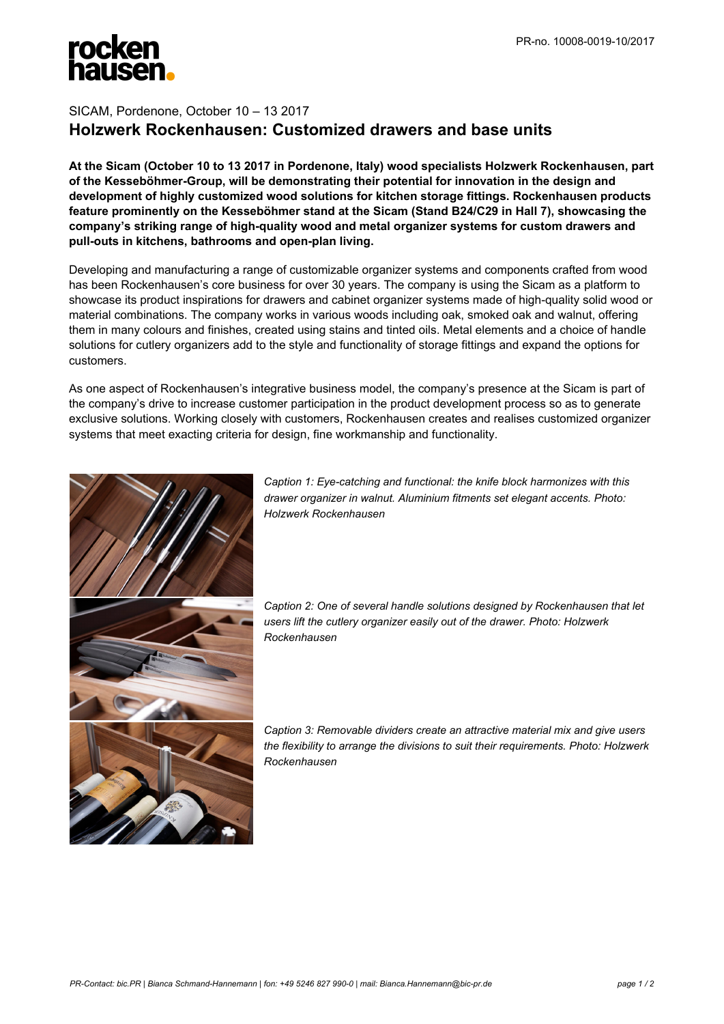

## SICAM, Pordenone, October 10 – 13 2017 **Holzwerk Rockenhausen: Customized drawers and base units**

**At the Sicam (October 10 to 13 2017 in Pordenone, Italy) wood specialists Holzwerk Rockenhausen, part of the Kesseböhmer-Group, will be demonstrating their potential for innovation in the design and development of highly customized wood solutions for kitchen storage fittings. Rockenhausen products feature prominently on the Kesseböhmer stand at the Sicam (Stand B24/C29 in Hall 7), showcasing the company's striking range of high-quality wood and metal organizer systems for custom drawers and pull-outs in kitchens, bathrooms and open-plan living.**

Developing and manufacturing a range of customizable organizer systems and components crafted from wood has been Rockenhausen's core business for over 30 years. The company is using the Sicam as a platform to showcase its product inspirations for drawers and cabinet organizer systems made of high-quality solid wood or material combinations. The company works in various woods including oak, smoked oak and walnut, offering them in many colours and finishes, created using stains and tinted oils. Metal elements and a choice of handle solutions for cutlery organizers add to the style and functionality of storage fittings and expand the options for customers.

As one aspect of Rockenhausen's integrative business model, the company's presence at the Sicam is part of the company's drive to increase customer participation in the product development process so as to generate exclusive solutions. Working closely with customers, Rockenhausen creates and realises customized organizer systems that meet exacting criteria for design, fine workmanship and functionality.



*Caption 1: Eye-catching and functional: the knife block harmonizes with this drawer organizer in walnut. Aluminium fitments set elegant accents. Photo: Holzwerk Rockenhausen*

*Caption 2: One of several handle solutions designed by Rockenhausen that let users lift the cutlery organizer easily out of the drawer. Photo: Holzwerk Rockenhausen*

*Caption 3: Removable dividers create an attractive material mix and give users the flexibility to arrange the divisions to suit their requirements. Photo: Holzwerk Rockenhausen*